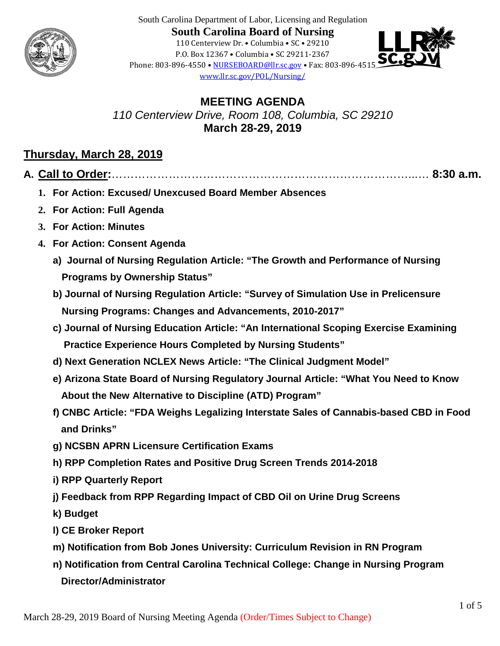

South Carolina Department of Labor, Licensing and Regulation **South Carolina Board of Nursing** 110 Centerview Dr. • Columbia • SC • 29210 P.O. Box 12367 • Columbia • SC 29211-2367 Phone: 803-896-4550 • [NURSEBOARD@llr.sc.gov](mailto:contactllr@llr.sc.gov) • Fax: 803-896-4515 [www.llr.sc.gov/POL/Nursing/](http://www.llronline.com/POL/Nursing/)



**MEETING AGENDA** *110 Centerview Drive, Room 108, Columbia, SC 29210* **March 28-29, 2019**

### **Thursday, March 28, 2019**

- **A. Call to Order:**……………………………………………………………………...… **8:30 a.m.**
	- **1. For Action: Excused/ Unexcused Board Member Absences**
	- **2. For Action: Full Agenda**
	- **3. For Action: Minutes**
	- **4. For Action: Consent Agenda**
		- **a) Journal of Nursing Regulation Article: "The Growth and Performance of Nursing Programs by Ownership Status"**
		- **b) Journal of Nursing Regulation Article: "Survey of Simulation Use in Prelicensure Nursing Programs: Changes and Advancements, 2010-2017"**
		- **c) Journal of Nursing Education Article: "An International Scoping Exercise Examining Practice Experience Hours Completed by Nursing Students"**
		- **d) Next Generation NCLEX News Article: "The Clinical Judgment Model"**
		- **e) Arizona State Board of Nursing Regulatory Journal Article: "What You Need to Know About the New Alternative to Discipline (ATD) Program"**
		- **f) CNBC Article: "FDA Weighs Legalizing Interstate Sales of Cannabis-based CBD in Food and Drinks"**
		- **g) NCSBN APRN Licensure Certification Exams**
		- **h) RPP Completion Rates and Positive Drug Screen Trends 2014-2018**
		- **i) RPP Quarterly Report**
		- **j) Feedback from RPP Regarding Impact of CBD Oil on Urine Drug Screens**
		- **k) Budget**
		- **l) CE Broker Report**
		- **m) Notification from Bob Jones University: Curriculum Revision in RN Program**
		- **n) Notification from Central Carolina Technical College: Change in Nursing Program Director/Administrator**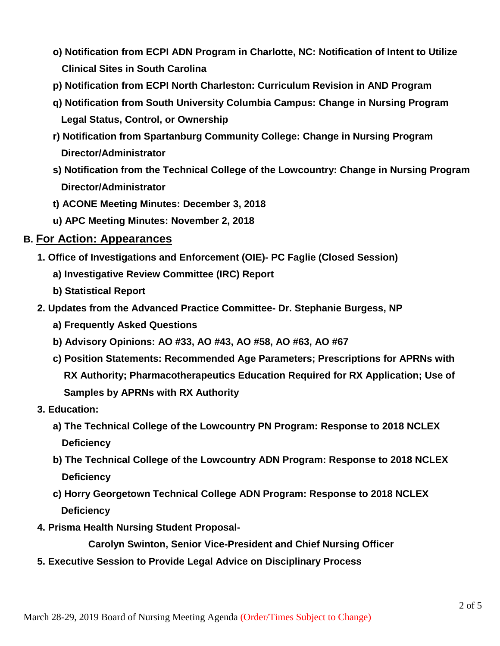- **o) Notification from ECPI ADN Program in Charlotte, NC: Notification of Intent to Utilize Clinical Sites in South Carolina**
- **p) Notification from ECPI North Charleston: Curriculum Revision in AND Program**
- **q) Notification from South University Columbia Campus: Change in Nursing Program Legal Status, Control, or Ownership**
- **r) Notification from Spartanburg Community College: Change in Nursing Program Director/Administrator**
- **s) Notification from the Technical College of the Lowcountry: Change in Nursing Program Director/Administrator**
- **t) ACONE Meeting Minutes: December 3, 2018**
- **u) APC Meeting Minutes: November 2, 2018**

#### **B. For Action: Appearances**

- **1. Office of Investigations and Enforcement (OIE)- PC Faglie (Closed Session)**
	- **a) Investigative Review Committee (IRC) Report**
	- **b) Statistical Report**
- **2. Updates from the Advanced Practice Committee- Dr. Stephanie Burgess, NP**
	- **a) Frequently Asked Questions**
	- **b) Advisory Opinions: AO #33, AO #43, AO #58, AO #63, AO #67**
	- **c) Position Statements: Recommended Age Parameters; Prescriptions for APRNs with RX Authority; Pharmacotherapeutics Education Required for RX Application; Use of Samples by APRNs with RX Authority**
- **3. Education:** 
	- **a) The Technical College of the Lowcountry PN Program: Response to 2018 NCLEX Deficiency**
	- **b) The Technical College of the Lowcountry ADN Program: Response to 2018 NCLEX Deficiency**
	- **c) Horry Georgetown Technical College ADN Program: Response to 2018 NCLEX Deficiency**
- **4. Prisma Health Nursing Student Proposal-**

 **Carolyn Swinton, Senior Vice-President and Chief Nursing Officer**

 **5. Executive Session to Provide Legal Advice on Disciplinary Process**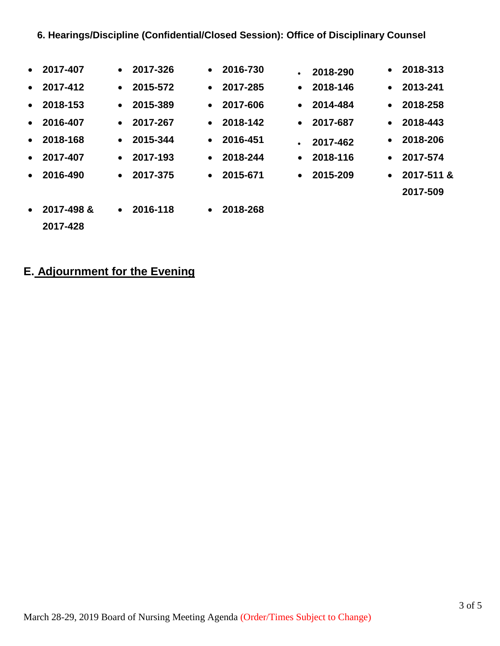### **6. Hearings/Discipline (Confidential/Closed Session): Office of Disciplinary Counsel**

| $\bullet$ | 2017-407           | $\bullet$ | 2017-326           | $\bullet$ | 2016-730 | $\bullet$ | 2018-290           | $\bullet$ | 2018-313           |
|-----------|--------------------|-----------|--------------------|-----------|----------|-----------|--------------------|-----------|--------------------|
| $\bullet$ | 2017-412           | $\bullet$ | 2015-572           | $\bullet$ | 2017-285 | $\bullet$ | 2018-146           |           | $\bullet$ 2013-241 |
|           | $\bullet$ 2018-153 |           | $\bullet$ 2015-389 | $\bullet$ | 2017-606 |           | $\bullet$ 2014-484 | $\bullet$ | 2018-258           |
|           | $\bullet$ 2016-407 |           | $\bullet$ 2017-267 | $\bullet$ | 2018-142 |           | $\bullet$ 2017-687 |           | $\bullet$ 2018-443 |
|           | $\bullet$ 2018-168 |           | $\bullet$ 2015-344 | $\bullet$ | 2016-451 | $\bullet$ | 2017-462           |           | $\bullet$ 2018-206 |
| $\bullet$ | 2017-407           |           | $\bullet$ 2017-193 | $\bullet$ | 2018-244 | $\bullet$ | 2018-116           |           | $\bullet$ 2017-574 |
| $\bullet$ | 2016-490           | $\bullet$ | 2017-375           | $\bullet$ | 2015-671 | $\bullet$ | 2015-209           | $\bullet$ | 2017-511 &         |
|           |                    |           |                    |           |          |           |                    |           | 2017-509           |
| $\bullet$ | 2017-498 &         | $\bullet$ | 2016-118           | $\bullet$ | 2018-268 |           |                    |           |                    |
|           | 2017-428           |           |                    |           |          |           |                    |           |                    |

# **E. Adjournment for the Evening**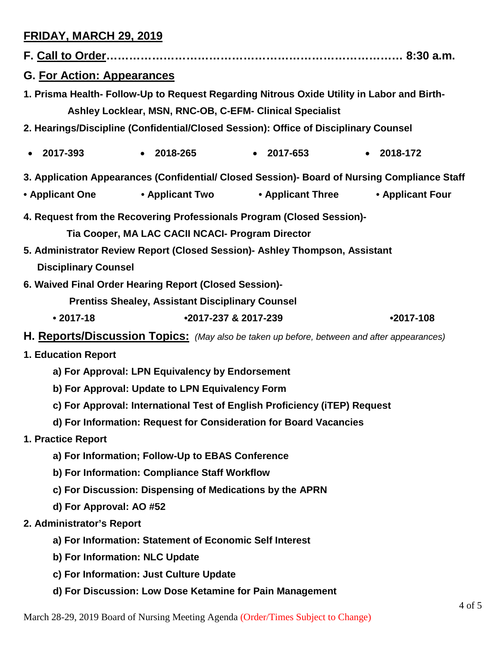# **FRIDAY, MARCH 29, 2019**

| <b>G. For Action: Appearances</b>                                                          |                                                                   |                                                                                                                                                        |                                    |  |  |  |  |  |  |
|--------------------------------------------------------------------------------------------|-------------------------------------------------------------------|--------------------------------------------------------------------------------------------------------------------------------------------------------|------------------------------------|--|--|--|--|--|--|
|                                                                                            |                                                                   | 1. Prisma Health- Follow-Up to Request Regarding Nitrous Oxide Utility in Labor and Birth-<br>Ashley Locklear, MSN, RNC-OB, C-EFM- Clinical Specialist |                                    |  |  |  |  |  |  |
| 2. Hearings/Discipline (Confidential/Closed Session): Office of Disciplinary Counsel       |                                                                   |                                                                                                                                                        |                                    |  |  |  |  |  |  |
| 2017-393<br>$\bullet$                                                                      | $\bullet$ 2018-265                                                | $\bullet$ 2017-653                                                                                                                                     | $-2018-172$                        |  |  |  |  |  |  |
|                                                                                            |                                                                   | 3. Application Appearances (Confidential/ Closed Session)- Board of Nursing Compliance Staff                                                           |                                    |  |  |  |  |  |  |
| • Applicant One                                                                            | • Applicant Two                                                   |                                                                                                                                                        | • Applicant Three • Applicant Four |  |  |  |  |  |  |
| 4. Request from the Recovering Professionals Program (Closed Session)-                     |                                                                   |                                                                                                                                                        |                                    |  |  |  |  |  |  |
| Tia Cooper, MA LAC CACII NCACI- Program Director                                           |                                                                   |                                                                                                                                                        |                                    |  |  |  |  |  |  |
| 5. Administrator Review Report (Closed Session) - Ashley Thompson, Assistant               |                                                                   |                                                                                                                                                        |                                    |  |  |  |  |  |  |
| <b>Disciplinary Counsel</b>                                                                |                                                                   |                                                                                                                                                        |                                    |  |  |  |  |  |  |
| 6. Waived Final Order Hearing Report (Closed Session)-                                     |                                                                   |                                                                                                                                                        |                                    |  |  |  |  |  |  |
|                                                                                            | <b>Prentiss Shealey, Assistant Disciplinary Counsel</b>           |                                                                                                                                                        |                                    |  |  |  |  |  |  |
| $• 2017 - 18$                                                                              |                                                                   | •2017-237 & 2017-239                                                                                                                                   | $•2017-108$                        |  |  |  |  |  |  |
| H. Reports/Discussion Topics: (May also be taken up before, between and after appearances) |                                                                   |                                                                                                                                                        |                                    |  |  |  |  |  |  |
| 1. Education Report                                                                        |                                                                   |                                                                                                                                                        |                                    |  |  |  |  |  |  |
| a) For Approval: LPN Equivalency by Endorsement                                            |                                                                   |                                                                                                                                                        |                                    |  |  |  |  |  |  |
| b) For Approval: Update to LPN Equivalency Form                                            |                                                                   |                                                                                                                                                        |                                    |  |  |  |  |  |  |
| c) For Approval: International Test of English Proficiency (iTEP) Request                  |                                                                   |                                                                                                                                                        |                                    |  |  |  |  |  |  |
|                                                                                            | d) For Information: Request for Consideration for Board Vacancies |                                                                                                                                                        |                                    |  |  |  |  |  |  |
| 1. Practice Report                                                                         |                                                                   |                                                                                                                                                        |                                    |  |  |  |  |  |  |
| a) For Information; Follow-Up to EBAS Conference                                           |                                                                   |                                                                                                                                                        |                                    |  |  |  |  |  |  |
|                                                                                            | b) For Information: Compliance Staff Workflow                     |                                                                                                                                                        |                                    |  |  |  |  |  |  |
|                                                                                            |                                                                   | c) For Discussion: Dispensing of Medications by the APRN                                                                                               |                                    |  |  |  |  |  |  |
| d) For Approval: AO #52                                                                    |                                                                   |                                                                                                                                                        |                                    |  |  |  |  |  |  |
| 2. Administrator's Report                                                                  |                                                                   |                                                                                                                                                        |                                    |  |  |  |  |  |  |
| a) For Information: Statement of Economic Self Interest                                    |                                                                   |                                                                                                                                                        |                                    |  |  |  |  |  |  |
|                                                                                            | b) For Information: NLC Update                                    |                                                                                                                                                        |                                    |  |  |  |  |  |  |
|                                                                                            | c) For Information: Just Culture Update                           |                                                                                                                                                        |                                    |  |  |  |  |  |  |
|                                                                                            |                                                                   | d) For Discussion: Low Dose Ketamine for Pain Management                                                                                               |                                    |  |  |  |  |  |  |